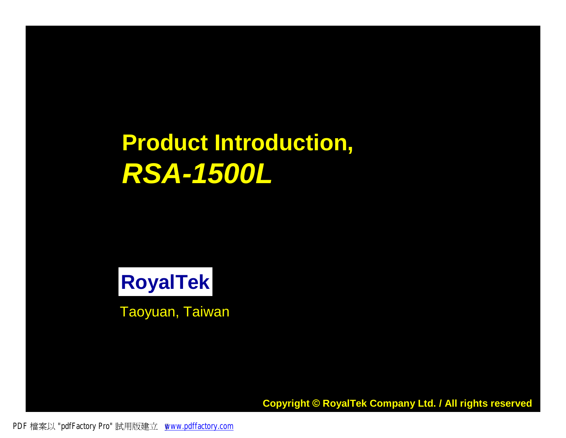# **Product Introduction,** *RSA-1500L*

**RoyalTek**

Taoyuan, Taiwan

**Copyright © RoyalTek Company Ltd. / All rights reserved** 

PDF 檔案以 "pdfFactory Pro" 試用版建立 [www.pdffactory.com](http://www.pdffactory.com)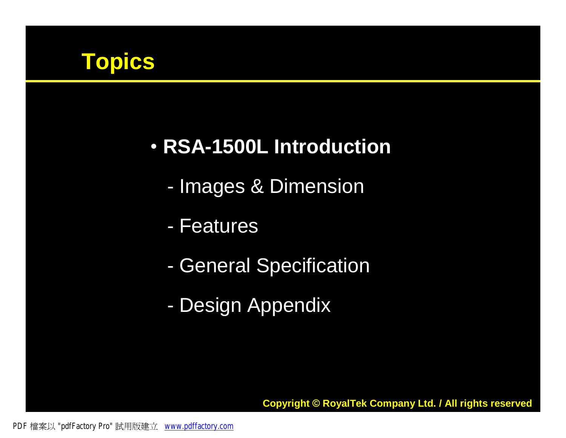

#### • **RSA-1500L Introduction**

- Images & Dimension
- Features
- General Specification
- Design Appendix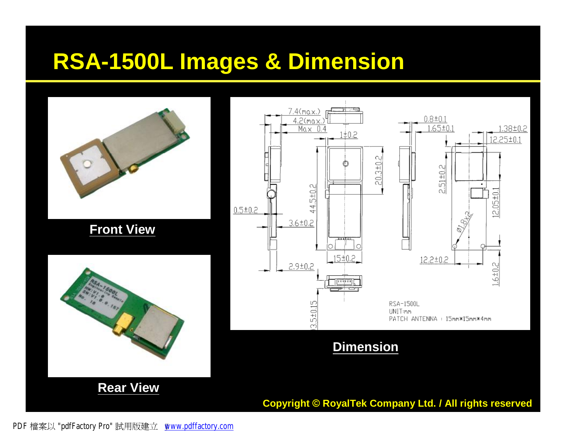#### **RSA-1500L Images & Dimension**



PDF 檔案以 "pdfFactory Pro" 試用版建立 [www.pdffactory.com](http://www.pdffactory.com)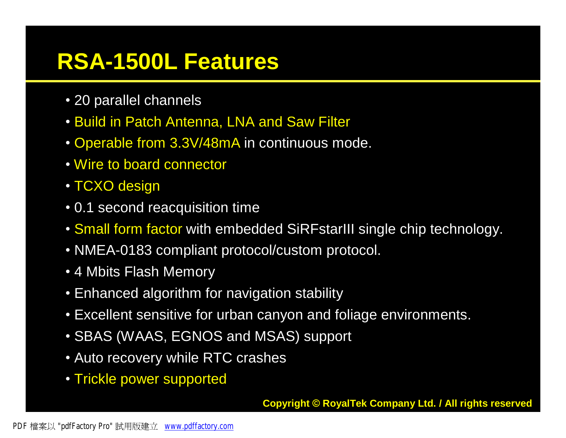#### **RSA-1500L Features**

- 20 parallel channels
- Build in Patch Antenna, LNA and Saw Filter
- Operable from 3.3V/48mA in continuous mode.
- Wire to board connector
- TCXO design
- 0.1 second reacquisition time
- Small form factor with embedded SiRFstarIII single chip technology.
- NMEA-0183 compliant protocol/custom protocol.
- 4 Mbits Flash Memory
- Enhanced algorithm for navigation stability
- Excellent sensitive for urban canyon and foliage environments.
- SBAS (WAAS, EGNOS and MSAS) support
- Auto recovery while RTC crashes
- Trickle power supported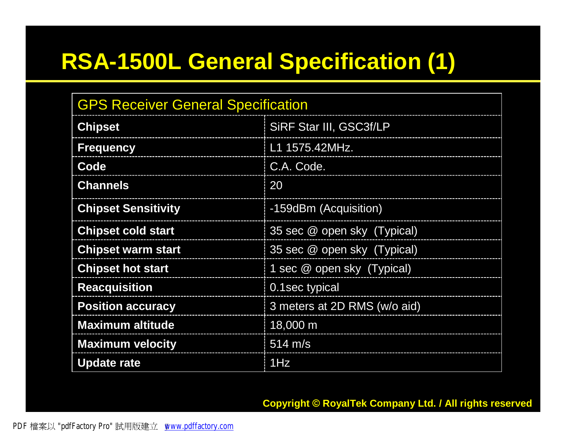#### **RSA-1500L General Specification (1)**

| <b>GPS Receiver General Specification</b> |                              |  |  |  |
|-------------------------------------------|------------------------------|--|--|--|
| <b>Chipset</b>                            | SiRF Star III, GSC3f/LP      |  |  |  |
| <b>Frequency</b>                          | L1 1575.42MHz.               |  |  |  |
| Code                                      | C.A. Code.                   |  |  |  |
| <b>Channels</b>                           | 20                           |  |  |  |
| <b>Chipset Sensitivity</b>                | -159dBm (Acquisition)        |  |  |  |
| <b>Chipset cold start</b>                 | 35 sec @ open sky (Typical)  |  |  |  |
| <b>Chipset warm start</b>                 | 35 sec @ open sky (Typical)  |  |  |  |
| <b>Chipset hot start</b>                  | 1 sec @ open sky (Typical)   |  |  |  |
| <b>Reacquisition</b>                      | 0.1 sec typical              |  |  |  |
| <b>Position accuracy</b>                  | 3 meters at 2D RMS (w/o aid) |  |  |  |
| <b>Maximum altitude</b>                   | 18,000 m                     |  |  |  |
| <b>Maximum velocity</b>                   | $514 \text{ m/s}$            |  |  |  |
| <b>Update rate</b>                        | 1Hz                          |  |  |  |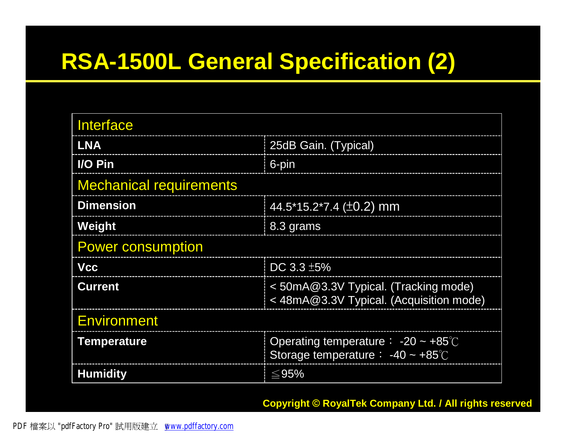#### **RSA-1500L General Specification (2)**

| Interface                      |                                                                                     |  |  |  |
|--------------------------------|-------------------------------------------------------------------------------------|--|--|--|
| <b>LNA</b>                     | 25dB Gain. (Typical)                                                                |  |  |  |
| I/O Pin                        | 6-pin                                                                               |  |  |  |
| <b>Mechanical requirements</b> |                                                                                     |  |  |  |
| <b>Dimension</b>               | 44.5*15.2*7.4 (±0.2) mm                                                             |  |  |  |
| Weight                         | 8.3 grams                                                                           |  |  |  |
| <b>Power consumption</b>       |                                                                                     |  |  |  |
| <b>Vcc</b>                     | DC $3.3 \pm 5\%$                                                                    |  |  |  |
| <b>Current</b>                 | < 50mA@3.3V Typical. (Tracking mode)<br>< 48mA@3.3V Typical. (Acquisition mode)     |  |  |  |
| <b>Environment</b>             |                                                                                     |  |  |  |
| <b>Temperature</b>             | Operating temperature : $-20 \sim +85^{\circ}$<br>Storage temperature : -40 ~ +85°C |  |  |  |
| <b>Humidity</b>                | ≤95%                                                                                |  |  |  |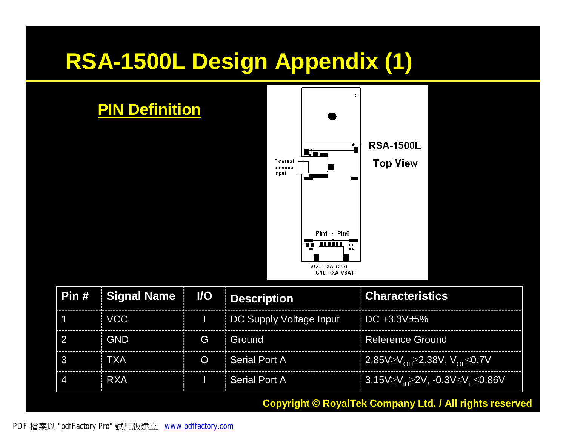### **RSA-1500L Design Appendix (1)**



|   | Pin # Signal Name   I/O   Description |          |                                                                   | : Characteristics                                           |
|---|---------------------------------------|----------|-------------------------------------------------------------------|-------------------------------------------------------------|
|   | VCC                                   |          | $\vert$ $\vert$ DC Supply Voltage Input $\vert$ DC +3.3V $\pm$ 5% |                                                             |
|   | <b>GND</b>                            |          | G Ground                                                          | : Reference Ground                                          |
| 3 | <b>TXA</b>                            | $\Omega$ | <i>i</i> Serial Port A                                            | <u>  2.85V≥V<sub>OH</sub>≥2</u> .38V, V <sub>OL</sub> ≤0.7V |
|   | <b>RXA</b>                            |          | <sup>1</sup> Serial Port A                                        | 3.15V≥V, <sub>iH</sub> ≥2V, -0.3V≤V, <sub>i</sub> ≤0.86V    |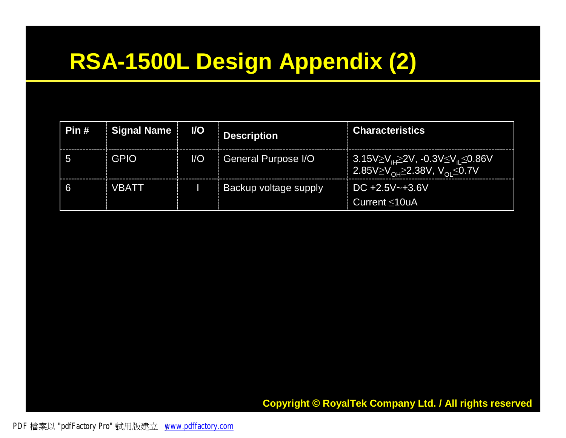# **RSA-1500L Design Appendix (2)**

| Pin # | Signal Name | <b>VO</b>              | <b>Description</b>           | <b>Characteristics</b>                                                                                                         |
|-------|-------------|------------------------|------------------------------|--------------------------------------------------------------------------------------------------------------------------------|
|       | <b>GPIO</b> | $\mathsf{U}\mathsf{O}$ | General Purpose I/O          | $\frac{1}{2}$ 3.15V≥V <sub>iH</sub> ≥2V, -0.3V≤V <sub>iI</sub> ≤0.86V<br>  2.85V≥V <sub>OH</sub> ≥2.38V, V <sub>OL</sub> ≤0.7V |
|       | VBATT       |                        | <b>Backup voltage supply</b> | $\pm$ DC +2.5V~+3.6V<br>Current ≤10uA                                                                                          |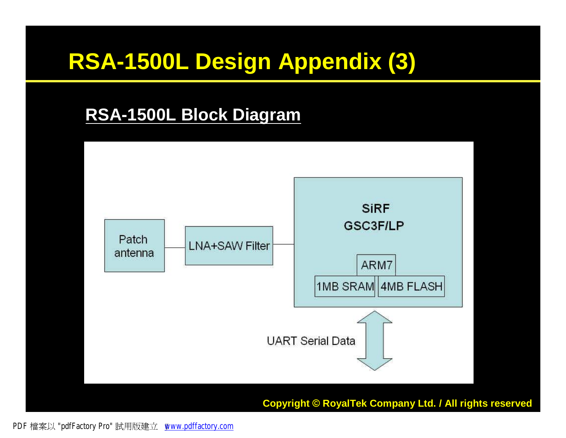# **RSA-1500L Design Appendix (3)**

#### **RSA-1500L Block Diagram**

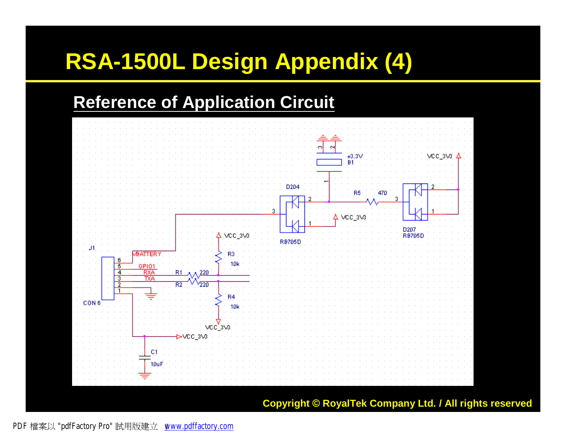# **RSA-1500L Design Appendix (4)**

#### **Reference of Application Circuit**